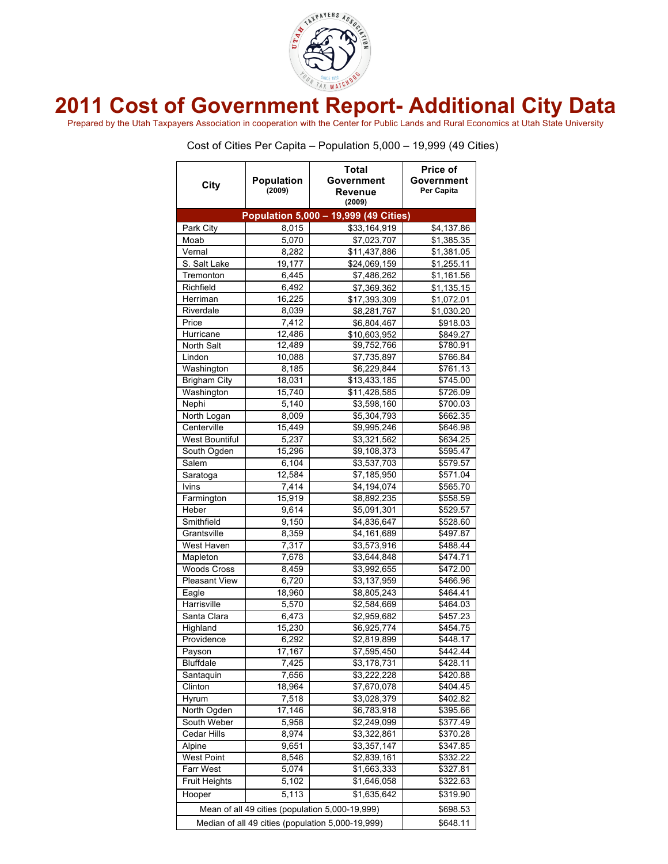

## **2011 Cost of Government Report- Additional City Data**

Prepared by the Utah Taxpayers Association in cooperation with the Center for Public Lands and Rural Economics at Utah State University

Cost of Cities Per Capita – Population 5,000 – 19,999 (49 Cities)

| City                                              | Population<br>(2009) | Total<br>Government<br>Revenue<br>(2009) | <b>Price of</b><br>Government<br>Per Capita |  |
|---------------------------------------------------|----------------------|------------------------------------------|---------------------------------------------|--|
|                                                   |                      | Population 5,000 - 19,999 (49 Cities)    |                                             |  |
| Park City                                         | 8,015                | \$33,164,919                             | \$4,137.86                                  |  |
| Moab                                              | 5,070                | \$7,023,707                              | \$1,385.35                                  |  |
| Vernal                                            | 8,282                | \$11,437,886                             | \$1,381.05                                  |  |
| S. Salt Lake                                      | 19,177               | \$24,069,159                             | \$1,255.11                                  |  |
| Tremonton                                         | 6,445                | \$7,486,262                              | \$1,161.56                                  |  |
| Richfield                                         | 6,492                | \$7,369,362                              | \$1,135.15                                  |  |
| Herriman                                          | 16,225               | \$17,393,309                             | \$1,072.01                                  |  |
| Riverdale                                         | 8,039                | \$8,281,767                              | \$1,030.20                                  |  |
| Price                                             | 7,412                | \$6,804,467                              | \$918.03                                    |  |
| Hurricane                                         | 12,486               | \$10,603,952                             | \$849.27                                    |  |
| North Salt                                        | 12,489               | \$9,752,766                              | \$780.91                                    |  |
| Lindon                                            | 10,088               | \$7,735,897                              | \$766.84                                    |  |
| Washington                                        | 8,185                | \$6,229,844                              | \$761.13                                    |  |
| <b>Brigham City</b>                               | 18,031               | \$13,433,185                             | \$745.00                                    |  |
| Washington                                        | 15,740               | \$11,428,585                             | \$726.09                                    |  |
| Nephi                                             | 5,140                | \$3,598,160                              | \$700.03                                    |  |
| North Logan                                       | 8,009                | \$5,304,793                              | \$662.35                                    |  |
| Centerville                                       | 15,449               | \$9,995,246                              | \$646.98                                    |  |
| <b>West Bountiful</b>                             | 5,237                | \$3,321,562                              | \$634.25                                    |  |
| South Ogden                                       | 15,296               | \$9,108,373                              | \$595.47                                    |  |
| Salem                                             | 6,104                | \$3,537,703                              | \$579.57                                    |  |
| Saratoga                                          | 12,584               | \$7,185,950                              | \$571.04                                    |  |
| Ivins                                             | 7,414                | \$4,194,074                              | \$565.70                                    |  |
| Farmington                                        | 15,919               | \$8,892,235                              | \$558.59                                    |  |
| Heber                                             | 9,614                | \$5,091,301                              | \$529.57                                    |  |
| Smithfield                                        | 9,150                | \$4,836,647                              | \$528.60                                    |  |
| Grantsville                                       | 8,359                | \$4,161,689                              | \$497.87                                    |  |
| West Haven                                        | 7,317                | \$3,573,916                              | \$488.44                                    |  |
| Mapleton                                          | 7,678                | \$3,644,848                              | \$474.71                                    |  |
| <b>Woods Cross</b>                                | 8,459                | \$3,992,655                              | \$472.00                                    |  |
| <b>Pleasant View</b>                              | 6,720                | \$3,137,959                              | \$466.96                                    |  |
| Eagle                                             | 18,960               | \$8,805,243                              | \$464.41                                    |  |
| Harrisville                                       | 5,570                | \$2,584,669                              | $\sqrt{$464.03}$                            |  |
| Santa Clara                                       | 6,473                | \$2,959,682                              | \$457.23                                    |  |
| Highland                                          | 15,230               | \$6,925,774                              | \$454.75                                    |  |
| Providence                                        | 6,292                | \$2,819,899                              | \$448.17                                    |  |
| Payson                                            | 17,167               | \$7,595,450                              | \$442.44                                    |  |
| <b>Bluffdale</b>                                  | 7,425                | \$3,178,731                              | $\sqrt{$428.11}$                            |  |
| Santaquin                                         | 7,656                | \$3,222,228                              | \$420.88                                    |  |
| Clinton                                           | 18,964               | \$7,670,078                              | \$404.45                                    |  |
| Hyrum                                             | 7,518                | \$3,028,379                              | \$402.82                                    |  |
| North Ogden                                       | 17,146               | \$6,783,918                              | \$395.66                                    |  |
| South Weber                                       | 5,958                | \$2,249,099                              | \$377.49                                    |  |
| Cedar Hills                                       | 8,974                | \$3,322,861                              | \$370.28                                    |  |
| Alpine                                            | 9,651                | \$3,357,147                              | \$347.85                                    |  |
| <b>West Point</b>                                 | 8,546                | \$2,839,161                              | \$332.22                                    |  |
| Farr West                                         | 5,074                | \$1,663,333                              | \$327.81                                    |  |
| <b>Fruit Heights</b>                              | 5,102                | \$1,646,058                              | \$322.63                                    |  |
| Hooper                                            | 5,113                | \$1,635,642                              | \$319.90                                    |  |
| Mean of all 49 cities (population 5,000-19,999)   | \$698.53             |                                          |                                             |  |
| Median of all 49 cities (population 5,000-19,999) | \$648.11             |                                          |                                             |  |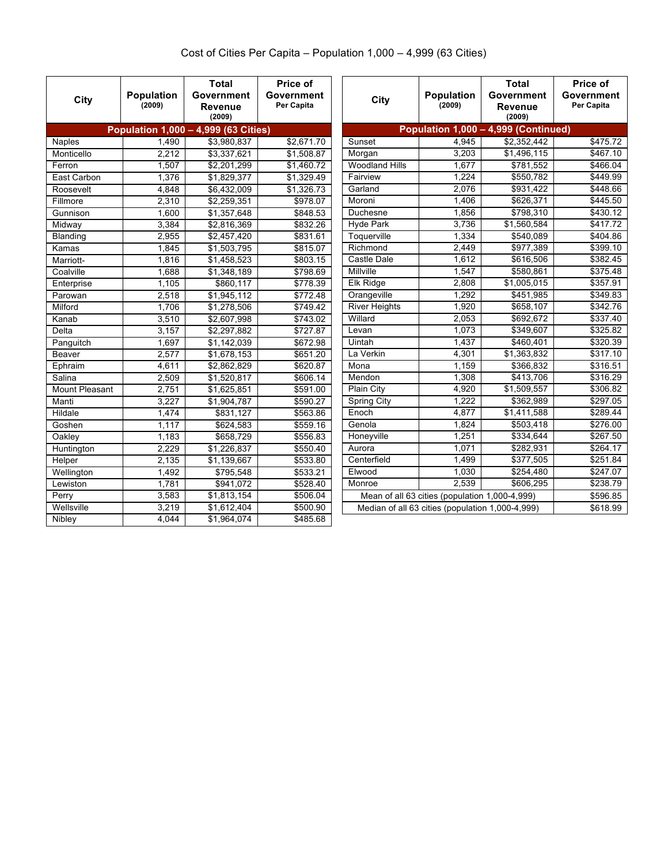## Cost of Cities Per Capita – Population 1,000 – 4,999 (63 Cities)

| City                  | <b>Population</b><br>(2009) | <b>Total</b><br>Government<br>Revenue<br>(2009) | Price of<br>Government<br>Per Capita | City                                             | <b>Population</b><br>(2009) | Total<br>Government<br>Revenue<br>(2009) | Price of<br>Government<br>Per Capita |
|-----------------------|-----------------------------|-------------------------------------------------|--------------------------------------|--------------------------------------------------|-----------------------------|------------------------------------------|--------------------------------------|
|                       |                             | Population 1,000 - 4,999 (63 Cities)            |                                      |                                                  |                             | Population 1,000 - 4,999 (Continued)     |                                      |
| <b>Naples</b>         | 1,490                       | \$3,980,837                                     | \$2.671.70                           | Sunset                                           | 4.945                       | \$2,352,442                              | \$475.72                             |
| Monticello            | 2,212                       | \$3,337,621                                     | \$1,508.87                           | Morgan                                           | 3.203                       | \$1,496,115                              | \$467.10                             |
| Ferron                | 1.507                       | \$2,201,299                                     | \$1,460.72                           | <b>Woodland Hills</b>                            | 1.677                       | \$781,552                                | \$466.04                             |
| East Carbon           | 1.376                       | \$1,829,377                                     | \$1,329.49                           | Fairview                                         | 1.224                       | \$550.782                                | \$449.99                             |
| Roosevelt             | 4,848                       | \$6,432,009                                     | \$1.326.73                           | Garland                                          | 2.076                       | \$931,422                                | \$448.66                             |
| Fillmore              | 2,310                       | \$2,259,351                                     | \$978.07                             | Moroni                                           | 1,406                       | \$626,371                                | \$445.50                             |
| Gunnison              | 1,600                       | \$1,357,648                                     | \$848.53                             | Duchesne                                         | 1.856                       | $\frac{1}{15798,310}$                    | \$430.12                             |
| Midway                | 3,384                       | \$2,816,369                                     | \$832.26                             | <b>Hyde Park</b>                                 | 3.736                       | \$1.560.584                              | \$417.72                             |
| Blanding              | 2.955                       | \$2,457,420                                     | \$831.61                             | Toquerville                                      | 1.334                       | \$540.089                                | \$404.86                             |
| Kamas                 | 1.845                       | \$1,503,795                                     | \$815.07                             | Richmond                                         | 2.449                       | \$977.389                                | \$399.10                             |
| Marriott-             | 1,816                       | \$1,458,523                                     | \$803.15                             | Castle Dale                                      | 1.612                       | \$616,506                                | \$382.45                             |
| Coalville             | 1.688                       | \$1,348,189                                     | \$798.69                             | Millville                                        | 1,547                       | \$580,861                                | \$375.48                             |
| Enterprise            | 1,105                       | \$860.117                                       | \$778.39                             | Elk Ridge                                        | 2.808                       | \$1,005,015                              | \$357.91                             |
| Parowan               | 2,518                       | \$1,945,112                                     | \$772.48                             | Orangeville                                      | 1,292                       | \$451,985                                | \$349.83                             |
| Milford               | 1,706                       | \$1,278,506                                     | \$749.42                             | <b>River Heights</b>                             | 1.920                       | \$658,107                                | \$342.76                             |
| Kanab                 | 3,510                       | \$2,607,998                                     | \$743.02                             | Willard                                          | 2.053                       | \$692,672                                | \$337.40                             |
| Delta                 | 3,157                       | \$2,297,882                                     | \$727.87                             | Levan                                            | 1.073                       | \$349,607                                | \$325.82                             |
| Panguitch             | 1,697                       | \$1,142,039                                     | \$672.98                             | Uintah                                           | 1.437                       | \$460,401                                | \$320.39                             |
| Beaver                | 2.577                       | \$1,678,153                                     | \$651.20                             | La Verkin                                        | 4,301                       | \$1,363,832                              | \$317.10                             |
| Ephraim               | 4,611                       | \$2,862,829                                     | \$620.87                             | Mona                                             | 1,159                       | \$366,832                                | \$316.51                             |
| Salina                | 2,509                       | \$1,520,817                                     | \$606.14                             | Mendon                                           | 1,308                       | \$413,706                                | \$316.29                             |
| <b>Mount Pleasant</b> | 2,751                       | \$1,625,851                                     | \$591.00                             | Plain City                                       | 4.920                       | \$1,509,557                              | \$306.82                             |
| Manti                 | 3.227                       | \$1,904,787                                     | \$590.27                             | <b>Spring City</b>                               | 1.222                       | \$362,989                                | \$297.05                             |
| Hildale               | 1,474                       | \$831,127                                       | \$563.86                             | Enoch                                            | 4,877                       | \$1,411,588                              | \$289.44                             |
| Goshen                | 1.117                       | \$624,583                                       | \$559.16                             | Genola                                           | 1.824                       | \$503,418                                | \$276.00                             |
| Oakley                | 1,183                       | \$658,729                                       | \$556.83                             | Honeyville                                       | 1.251                       | \$334,644                                | \$267.50                             |
| Huntington            | 2.229                       | \$1,226,837                                     | \$550.40                             | Aurora                                           | 1.071                       | \$282,931                                | \$264.17                             |
| Helper                | 2,135                       | \$1,139,667                                     | \$533.80                             | Centerfield                                      | 1.499                       | \$377,505                                | \$251.84                             |
| Wellington            | 1,492                       | \$795,548                                       | \$533.21                             | Elwood                                           | 1,030                       | \$254,480                                | \$247.07                             |
| Lewiston              | 1.781                       | \$941,072                                       | \$528.40                             | Monroe                                           | 2.539                       | \$606.295                                | \$238.79                             |
| Perry                 | 3,583                       | \$1,813,154                                     | \$506.04                             | Mean of all 63 cities (population 1,000-4,999)   |                             |                                          | \$596.85                             |
| Wellsville            | 3,219                       | \$1,612,404                                     | \$500.90                             | Median of all 63 cities (population 1,000-4,999) |                             |                                          | \$618.99                             |
| <b>Nibley</b>         | 4.044                       | \$1,964,074                                     | \$485.68                             |                                                  |                             |                                          |                                      |